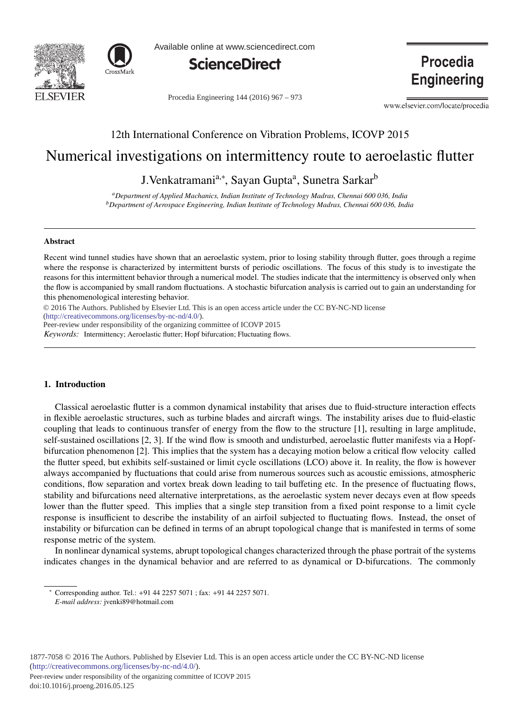



Available online at www.sciencedirect.com



Procedia Engineering 144 (2016) 967 - 973

www.elsevier.com/locate/procedia

**Procedia** 

**Engineering** 

# 12th International Conference on Vibration Problems, ICOVP 2015

# Numerical investigations on intermittency route to aeroelastic flutter

J.Venkatramani<sup>a,∗</sup>, Sayan Gupta<sup>a</sup>, Sunetra Sarkar<sup>b</sup>

*aDepartment of Applied Machanics, Indian Institute of Technology Madras, Chennai 600 036, India bDepartment of Aerospace Engineering, Indian Institute of Technology Madras, Chennai 600 036, India*

#### Abstract

Recent wind tunnel studies have shown that an aeroelastic system, prior to losing stability through flutter, goes through a regime where the response is characterized by intermittent bursts of periodic oscillations. The focus of this study is to investigate the reasons for this intermittent behavior through a numerical model. The studies indicate that the intermittency is observed only when the flow is accompanied by small random fluctuations. A stochastic bifurcation analysis is carried out to gain an understanding for this phenomenological interesting behavior.

c 2016 The Authors. Published by Elsevier Ltd. © 2016 The Authors. Published by Elsevier Ltd. This is an open access article under the CC BY-NC-ND license (http://creativecommons.org/licenses/by-nc-nd/4.0/).

Peer-review under responsibility of the organizing committee of ICOVP 2015

*Keywords:* Intermittency; Aeroelastic flutter; Hopf bifurcation; Fluctuating flows.

## 1. Introduction

Classical aeroelastic flutter is a common dynamical instability that arises due to fluid-structure interaction effects in flexible aeroelastic structures, such as turbine blades and aircraft wings. The instability arises due to fluid-elastic coupling that leads to continuous transfer of energy from the flow to the structure [1], resulting in large amplitude, self-sustained oscillations [2, 3]. If the wind flow is smooth and undisturbed, aeroelastic flutter manifests via a Hopfbifurcation phenomenon [2]. This implies that the system has a decaying motion below a critical flow velocity called the flutter speed, but exhibits self-sustained or limit cycle oscillations (LCO) above it. In reality, the flow is however always accompanied by fluctuations that could arise from numerous sources such as acoustic emissions, atmospheric conditions, flow separation and vortex break down leading to tail buffeting etc. In the presence of fluctuating flows, stability and bifurcations need alternative interpretations, as the aeroelastic system never decays even at flow speeds lower than the flutter speed. This implies that a single step transition from a fixed point response to a limit cycle response is insufficient to describe the instability of an airfoil subjected to fluctuating flows. Instead, the onset of instability or bifurcation can be defined in terms of an abrupt topological change that is manifested in terms of some response metric of the system.

In nonlinear dynamical systems, abrupt topological changes characterized through the phase portrait of the systems indicates changes in the dynamical behavior and are referred to as dynamical or D-bifurcations. The commonly

Peer-review under responsibility of the organizing committee of ICOVP 2015

<sup>∗</sup> Corresponding author. Tel.: +91 44 2257 5071 ; fax: +91 44 2257 5071. *E-mail address:* jvenki89@hotmail.com

<sup>1877-7058 © 2016</sup> The Authors. Published by Elsevier Ltd. This is an open access article under the CC BY-NC-ND license (http://creativecommons.org/licenses/by-nc-nd/4.0/).

doi: 10.1016/j.proeng.2016.05.125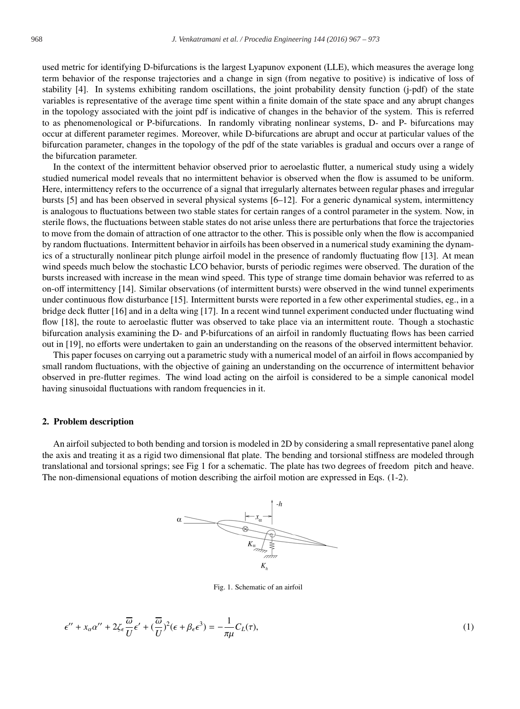used metric for identifying D-bifurcations is the largest Lyapunov exponent (LLE), which measures the average long term behavior of the response trajectories and a change in sign (from negative to positive) is indicative of loss of stability [4]. In systems exhibiting random oscillations, the joint probability density function (j-pdf) of the state variables is representative of the average time spent within a finite domain of the state space and any abrupt changes in the topology associated with the joint pdf is indicative of changes in the behavior of the system. This is referred to as phenomenological or P-bifurcations. In randomly vibrating nonlinear systems, D- and P- bifurcations may occur at different parameter regimes. Moreover, while D-bifurcations are abrupt and occur at particular values of the bifurcation parameter, changes in the topology of the pdf of the state variables is gradual and occurs over a range of the bifurcation parameter.

In the context of the intermittent behavior observed prior to aeroelastic flutter, a numerical study using a widely studied numerical model reveals that no intermittent behavior is observed when the flow is assumed to be uniform. Here, intermittency refers to the occurrence of a signal that irregularly alternates between regular phases and irregular bursts [5] and has been observed in several physical systems [6–12]. For a generic dynamical system, intermittency is analogous to fluctuations between two stable states for certain ranges of a control parameter in the system. Now, in sterile flows, the fluctuations between stable states do not arise unless there are perturbations that force the trajectories to move from the domain of attraction of one attractor to the other. This is possible only when the flow is accompanied by random fluctuations. Intermittent behavior in airfoils has been observed in a numerical study examining the dynamics of a structurally nonlinear pitch plunge airfoil model in the presence of randomly fluctuating flow [13]. At mean wind speeds much below the stochastic LCO behavior, bursts of periodic regimes were observed. The duration of the bursts increased with increase in the mean wind speed. This type of strange time domain behavior was referred to as on-off intermittency [14]. Similar observations (of intermittent bursts) were observed in the wind tunnel experiments under continuous flow disturbance [15]. Intermittent bursts were reported in a few other experimental studies, eg., in a bridge deck flutter [16] and in a delta wing [17]. In a recent wind tunnel experiment conducted under fluctuating wind flow [18], the route to aeroelastic flutter was observed to take place via an intermittent route. Though a stochastic bifurcation analysis examining the D- and P-bifurcations of an airfoil in randomly fluctuating flows has been carried out in [19], no efforts were undertaken to gain an understanding on the reasons of the observed intermittent behavior.

This paper focuses on carrying out a parametric study with a numerical model of an airfoil in flows accompanied by small random fluctuations, with the objective of gaining an understanding on the occurrence of intermittent behavior observed in pre-flutter regimes. The wind load acting on the airfoil is considered to be a simple canonical model having sinusoidal fluctuations with random frequencies in it.

#### 2. Problem description

An airfoil subjected to both bending and torsion is modeled in 2D by considering a small representative panel along the axis and treating it as a rigid two dimensional flat plate. The bending and torsional stiffness are modeled through translational and torsional springs; see Fig 1 for a schematic. The plate has two degrees of freedom pitch and heave. The non-dimensional equations of motion describing the airfoil motion are expressed in Eqs. (1-2).



Fig. 1. Schematic of an airfoil

$$
\epsilon'' + x_{\alpha} \alpha'' + 2\zeta_{\epsilon} \frac{\overline{\omega}}{U} \epsilon' + (\frac{\overline{\omega}}{U})^2 (\epsilon + \beta_{\epsilon} \epsilon^3) = -\frac{1}{\pi \mu} C_L(\tau), \tag{1}
$$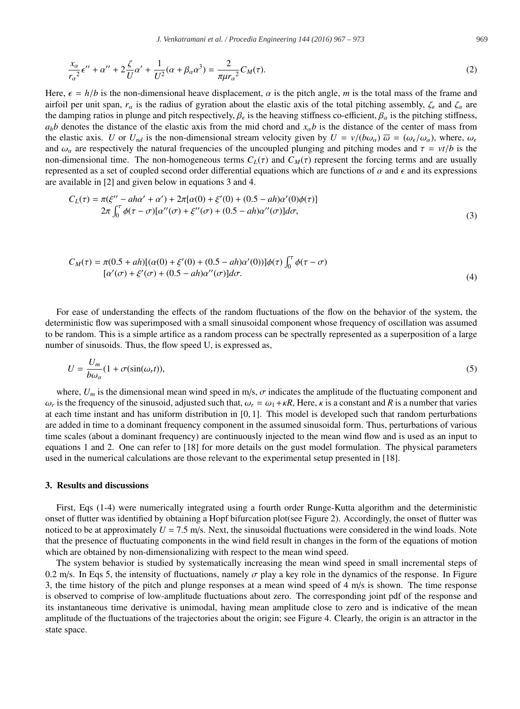$$
\frac{x_{\alpha}}{r_{\alpha}^{2}}\epsilon'' + \alpha'' + 2\frac{\zeta}{U}\alpha' + \frac{1}{U^{2}}(\alpha + \beta_{\alpha}\alpha^{3}) = \frac{2}{\pi\mu r_{\alpha}^{2}}C_{M}(\tau).
$$
\n(2)

Here,  $\epsilon = h/b$  is the non-dimensional heave displacement,  $\alpha$  is the pitch angle, m is the total mass of the frame and airfoil per unit span,  $r_{\alpha}$  is the radius of gyration about the elastic axis of the total pitching assembly,  $\zeta_{\epsilon}$  and  $\zeta_{\alpha}$  are the damping ratios in plunge and pitch respectively,  $\beta_{\epsilon}$  is the heaving stiffness co-efficient,  $\beta_{\alpha}$  is the pitching stiffness,  $a_h b$  denotes the distance of the elastic axis from the mid chord and  $x_a b$  is the distance of the center of mass from the elastic axis. *U* or  $U_{nd}$  is the non-dimensional stream velocity given by  $U = v/((b\omega_{\alpha})) \overline{\omega} = (\omega_{\epsilon}/\omega_{\alpha})$ , where,  $\omega_{\epsilon}$ and  $\omega_{\alpha}$  are respectively the natural frequencies of the uncoupled plunging and pitching modes and  $\tau = vt/b$  is the non-dimensional time. The non-homogeneous terms  $C_l(\tau)$  and  $C_M(\tau)$  represent the forcing terms and are usually represented as a set of coupled second order differential equations which are functions of  $\alpha$  and  $\epsilon$  and its expressions are available in [2] and given below in equations 3 and 4.

$$
C_L(\tau) = \pi(\xi'' - aha' + \alpha') + 2\pi[\alpha(0) + \xi'(0) + (0.5 - a h)\alpha'(0)\phi(\tau)]
$$
  

$$
2\pi \int_0^{\tau} \phi(\tau - \sigma)[\alpha''(\sigma) + \xi''(\sigma) + (0.5 - a h)\alpha''(\sigma)]d\sigma,
$$
 (3)

$$
C_M(\tau) = \pi (0.5 + ah) [(\alpha(0) + \xi'(0) + (0.5 - ah)\alpha'(0))] \phi(\tau) \int_0^{\tau} \phi(\tau - \sigma)
$$
  
\n
$$
[\alpha'(\sigma) + \xi'(\sigma) + (0.5 - ah)\alpha''(\sigma)] d\sigma.
$$
\n(4)

For ease of understanding the effects of the random fluctuations of the flow on the behavior of the system, the deterministic flow was superimposed with a small sinusoidal component whose frequency of oscillation was assumed to be random. This is a simple artifice as a random process can be spectrally represented as a superposition of a large number of sinusoids. Thus, the flow speed U, is expressed as,

$$
U = \frac{U_m}{b\omega_\alpha} (1 + \sigma(\sin(\omega_r t)), \tag{5}
$$

where,  $U_m$  is the dimensional mean wind speed in m/s,  $\sigma$  indicates the amplitude of the fluctuating component and  $\omega_r$  is the frequency of the sinusoid, adjusted such that,  $\omega_r = \omega_1 + \kappa R$ , Here,  $\kappa$  is a constant and R is a number that varies at each time instant and has uniform distribution in [0, 1]. This model is developed such that random perturbations are added in time to a dominant frequency component in the assumed sinusoidal form. Thus, perturbations of various time scales (about a dominant frequency) are continuously injected to the mean wind flow and is used as an input to equations 1 and 2. One can refer to [18] for more details on the gust model formulation. The physical parameters used in the numerical calculations are those relevant to the experimental setup presented in [18].

### 3. Results and discussions

First, Eqs (1-4) were numerically integrated using a fourth order Runge-Kutta algorithm and the deterministic onset of flutter was identified by obtaining a Hopf bifurcation plot(see Figure 2). Accordingly, the onset of flutter was noticed to be at approximately  $U = 7.5$  m/s. Next, the sinusoidal fluctuations were considered in the wind loads. Note that the presence of fluctuating components in the wind field result in changes in the form of the equations of motion which are obtained by non-dimensionalizing with respect to the mean wind speed.

The system behavior is studied by systematically increasing the mean wind speed in small incremental steps of 0.2 m/s. In Eqs 5, the intensity of fluctuations, namely  $\sigma$  play a key role in the dynamics of the response. In Figure 3, the time history of the pitch and plunge responses at a mean wind speed of 4 m/s is shown. The time response is observed to comprise of low-amplitude fluctuations about zero. The corresponding joint pdf of the response and its instantaneous time derivative is unimodal, having mean amplitude close to zero and is indicative of the mean amplitude of the fluctuations of the trajectories about the origin; see Figure 4. Clearly, the origin is an attractor in the state space.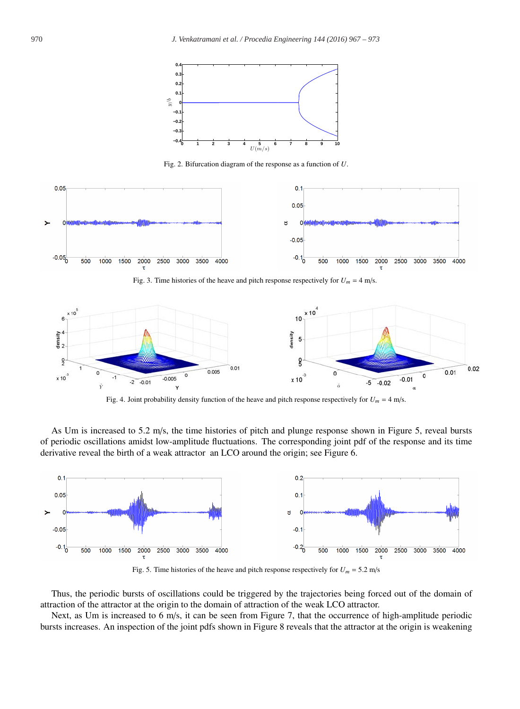

Fig. 2. Bifurcation diagram of the response as a function of *U*.



Fig. 3. Time histories of the heave and pitch response respectively for  $U_m = 4$  m/s.



Fig. 4. Joint probability density function of the heave and pitch response respectively for  $U_m = 4$  m/s.

As Um is increased to 5.2 m/s, the time histories of pitch and plunge response shown in Figure 5, reveal bursts of periodic oscillations amidst low-amplitude fluctuations. The corresponding joint pdf of the response and its time derivative reveal the birth of a weak attractor an LCO around the origin; see Figure 6.



Fig. 5. Time histories of the heave and pitch response respectively for  $U_m = 5.2$  m/s

Thus, the periodic bursts of oscillations could be triggered by the trajectories being forced out of the domain of attraction of the attractor at the origin to the domain of attraction of the weak LCO attractor.

Next, as Um is increased to 6 m/s, it can be seen from Figure 7, that the occurrence of high-amplitude periodic bursts increases. An inspection of the joint pdfs shown in Figure 8 reveals that the attractor at the origin is weakening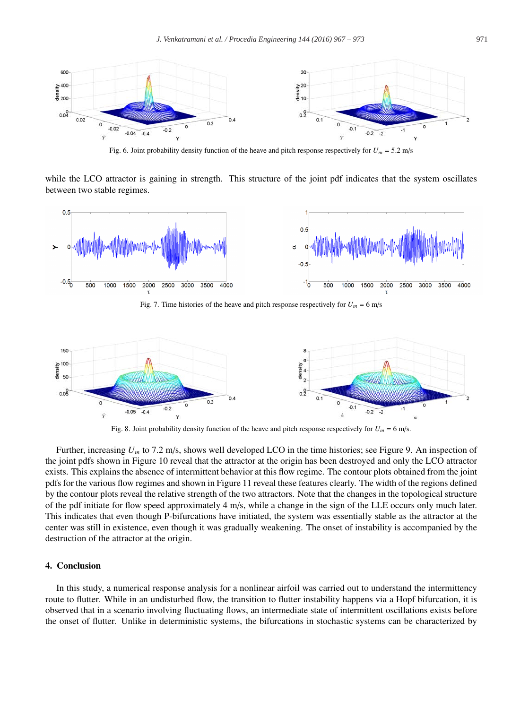

Fig. 6. Joint probability density function of the heave and pitch response respectively for  $U_m = 5.2$  m/s

while the LCO attractor is gaining in strength. This structure of the joint pdf indicates that the system oscillates between two stable regimes.



Fig. 7. Time histories of the heave and pitch response respectively for  $U_m = 6$  m/s



Fig. 8. Joint probability density function of the heave and pitch response respectively for  $U_m = 6$  m/s.

Further, increasing  $U_m$  to 7.2 m/s, shows well developed LCO in the time histories; see Figure 9. An inspection of the joint pdfs shown in Figure 10 reveal that the attractor at the origin has been destroyed and only the LCO attractor exists. This explains the absence of intermittent behavior at this flow regime. The contour plots obtained from the joint pdfs for the various flow regimes and shown in Figure 11 reveal these features clearly. The width of the regions defined by the contour plots reveal the relative strength of the two attractors. Note that the changes in the topological structure of the pdf initiate for flow speed approximately 4 m/s, while a change in the sign of the LLE occurs only much later. This indicates that even though P-bifurcations have initiated, the system was essentially stable as the attractor at the center was still in existence, even though it was gradually weakening. The onset of instability is accompanied by the destruction of the attractor at the origin.

# 4. Conclusion

In this study, a numerical response analysis for a nonlinear airfoil was carried out to understand the intermittency route to flutter. While in an undisturbed flow, the transition to flutter instability happens via a Hopf bifurcation, it is observed that in a scenario involving fluctuating flows, an intermediate state of intermittent oscillations exists before the onset of flutter. Unlike in deterministic systems, the bifurcations in stochastic systems can be characterized by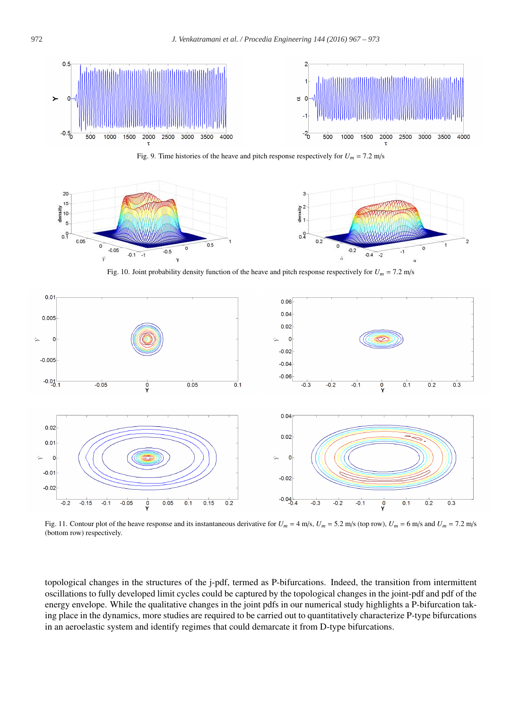

Fig. 9. Time histories of the heave and pitch response respectively for  $U_m = 7.2$  m/s



Fig. 10. Joint probability density function of the heave and pitch response respectively for  $U_m = 7.2$  m/s



Fig. 11. Contour plot of the heave response and its instantaneous derivative for  $U_m = 4$  m/s,  $U_m = 5.2$  m/s (top row),  $U_m = 6$  m/s and  $U_m = 7.2$  m/s (bottom row) respectively.

topological changes in the structures of the j-pdf, termed as P-bifurcations. Indeed, the transition from intermittent oscillations to fully developed limit cycles could be captured by the topological changes in the joint-pdf and pdf of the energy envelope. While the qualitative changes in the joint pdfs in our numerical study highlights a P-bifurcation taking place in the dynamics, more studies are required to be carried out to quantitatively characterize P-type bifurcations in an aeroelastic system and identify regimes that could demarcate it from D-type bifurcations.